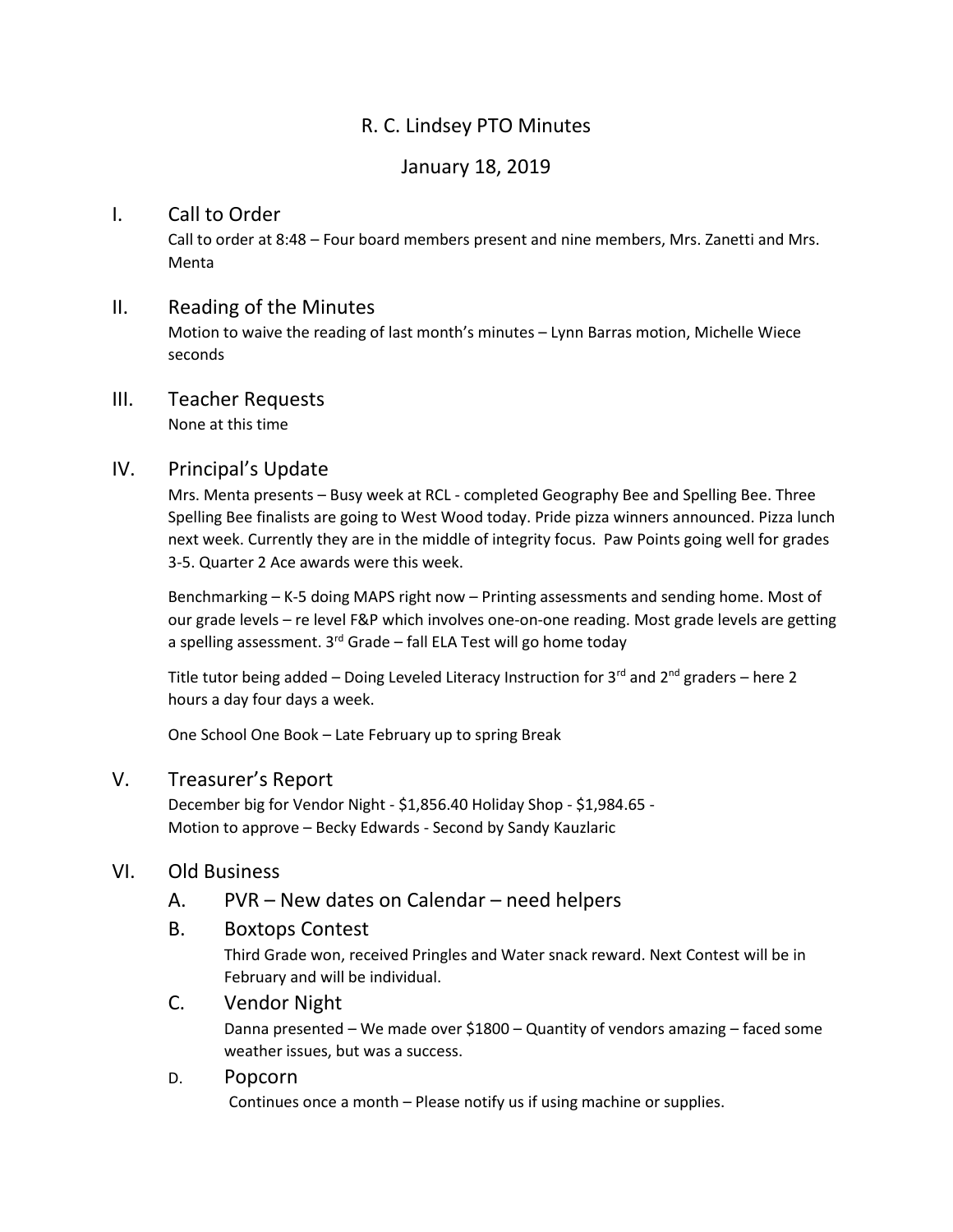# R. C. Lindsey PTO Minutes

# January 18, 2019

#### I. Call to Order

Call to order at 8:48 – Four board members present and nine members, Mrs. Zanetti and Mrs. Menta

#### II. Reading of the Minutes

Motion to waive the reading of last month's minutes – Lynn Barras motion, Michelle Wiece seconds

# III. Teacher Requests

None at this time

## IV. Principal's Update

Mrs. Menta presents – Busy week at RCL - completed Geography Bee and Spelling Bee. Three Spelling Bee finalists are going to West Wood today. Pride pizza winners announced. Pizza lunch next week. Currently they are in the middle of integrity focus. Paw Points going well for grades 3-5. Quarter 2 Ace awards were this week.

Benchmarking – K-5 doing MAPS right now – Printing assessments and sending home. Most of our grade levels – re level F&P which involves one-on-one reading. Most grade levels are getting a spelling assessment. 3<sup>rd</sup> Grade – fall ELA Test will go home today

Title tutor being added – Doing Leveled Literacy Instruction for 3<sup>rd</sup> and 2<sup>nd</sup> graders – here 2 hours a day four days a week.

One School One Book – Late February up to spring Break

## V. Treasurer's Report

December big for Vendor Night - \$1,856.40 Holiday Shop - \$1,984.65 - Motion to approve – Becky Edwards - Second by Sandy Kauzlaric

#### VI. Old Business

#### A. PVR – New dates on Calendar – need helpers

#### B. Boxtops Contest

Third Grade won, received Pringles and Water snack reward. Next Contest will be in February and will be individual.

#### C. Vendor Night

Danna presented – We made over \$1800 – Quantity of vendors amazing – faced some weather issues, but was a success.

#### D. Popcorn

Continues once a month – Please notify us if using machine or supplies.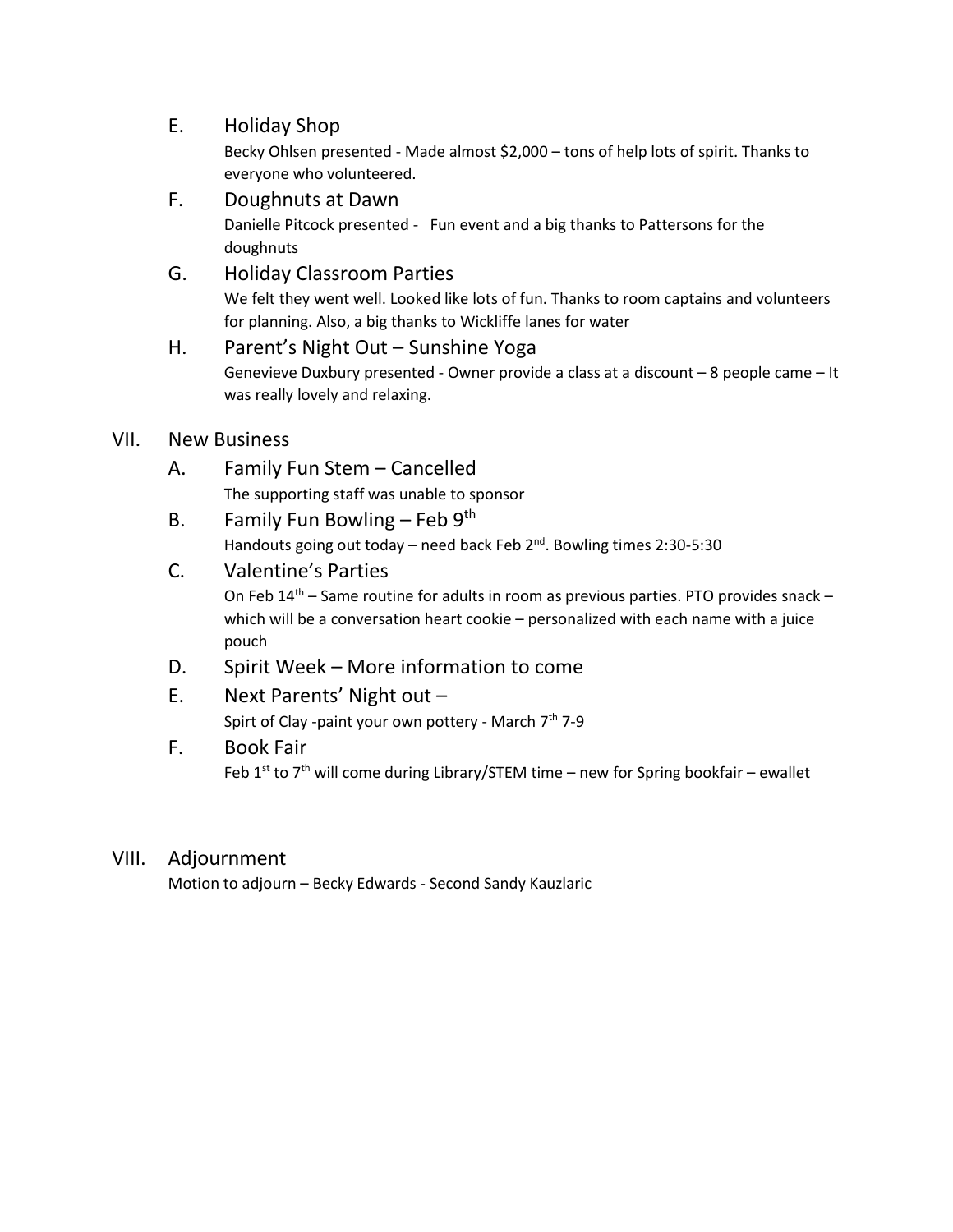# E. Holiday Shop

Becky Ohlsen presented - Made almost \$2,000 – tons of help lots of spirit. Thanks to everyone who volunteered.

F. Doughnuts at Dawn

Danielle Pitcock presented - Fun event and a big thanks to Pattersons for the doughnuts

G. Holiday Classroom Parties

We felt they went well. Looked like lots of fun. Thanks to room captains and volunteers for planning. Also, a big thanks to Wickliffe lanes for water

## H. Parent's Night Out – Sunshine Yoga Genevieve Duxbury presented - Owner provide a class at a discount – 8 people came – It was really lovely and relaxing.

## VII. New Business

- A. Family Fun Stem Cancelled The supporting staff was unable to sponsor
- B. Family Fun Bowling Feb  $9<sup>th</sup>$ Handouts going out today - need back Feb 2<sup>nd</sup>. Bowling times 2:30-5:30
- C. Valentine's Parties On Feb  $14<sup>th</sup>$  – Same routine for adults in room as previous parties. PTO provides snack – which will be a conversation heart cookie – personalized with each name with a juice pouch
- D. Spirit Week More information to come
- E. Next Parents' Night out Spirt of Clay -paint your own pottery - March 7<sup>th</sup> 7-9

# F. Book Fair Feb 1<sup>st</sup> to 7<sup>th</sup> will come during Library/STEM time – new for Spring bookfair – ewallet

## VIII. Adjournment

Motion to adjourn – Becky Edwards - Second Sandy Kauzlaric